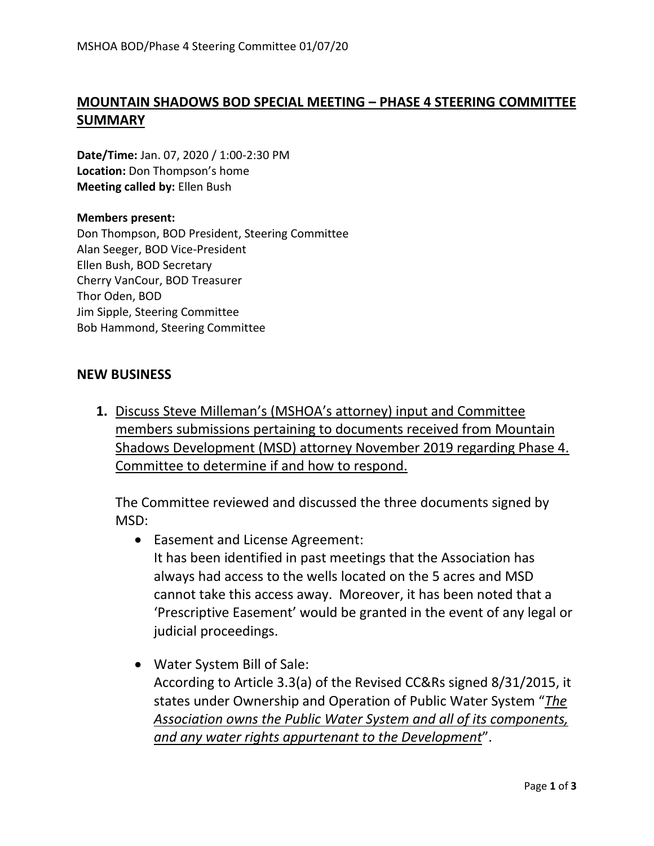## **MOUNTAIN SHADOWS BOD SPECIAL MEETING – PHASE 4 STEERING COMMITTEE SUMMARY**

**Date/Time:** Jan. 07, 2020 / 1:00-2:30 PM **Location:** Don Thompson's home **Meeting called by:** Ellen Bush

## **Members present:**

Don Thompson, BOD President, Steering Committee Alan Seeger, BOD Vice-President Ellen Bush, BOD Secretary Cherry VanCour, BOD Treasurer Thor Oden, BOD Jim Sipple, Steering Committee Bob Hammond, Steering Committee

## **NEW BUSINESS**

**1.** Discuss Steve Milleman's (MSHOA's attorney) input and Committee members submissions pertaining to documents received from Mountain Shadows Development (MSD) attorney November 2019 regarding Phase 4. Committee to determine if and how to respond.

The Committee reviewed and discussed the three documents signed by MSD:

- Easement and License Agreement: It has been identified in past meetings that the Association has always had access to the wells located on the 5 acres and MSD cannot take this access away. Moreover, it has been noted that a 'Prescriptive Easement' would be granted in the event of any legal or judicial proceedings.
- Water System Bill of Sale: According to Article 3.3(a) of the Revised CC&Rs signed 8/31/2015, it states under Ownership and Operation of Public Water System "*The Association owns the Public Water System and all of its components, and any water rights appurtenant to the Development*".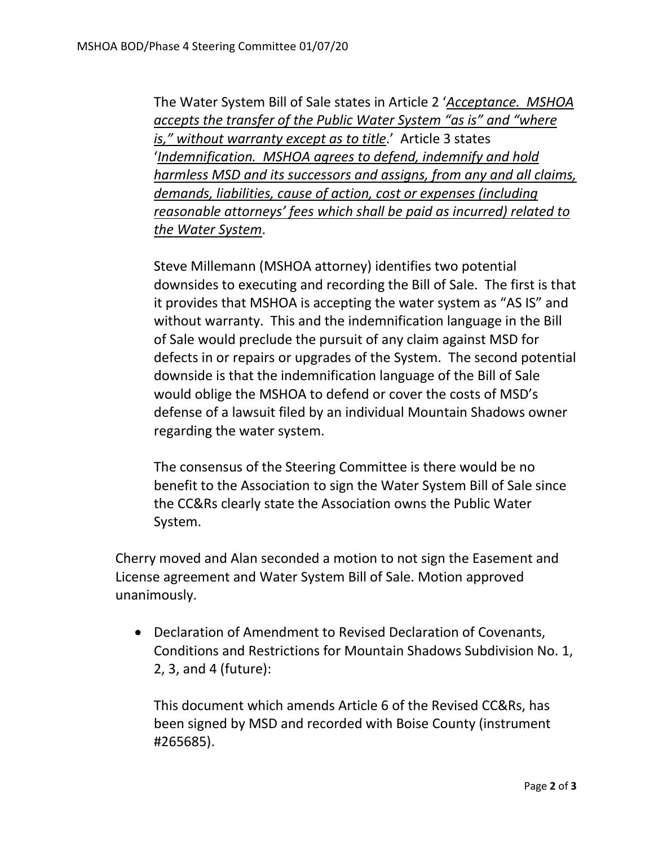The Water System Bill of Sale states in Article 2 '*Acceptance. MSHOA accepts the transfer of the Public Water System "as is" and "where is," without warranty except as to title*.' Article 3 states '*Indemnification. MSHOA agrees to defend, indemnify and hold harmless MSD and its successors and assigns, from any and all claims, demands, liabilities, cause of action, cost or expenses (including reasonable attorneys' fees which shall be paid as incurred) related to the Water System*.

Steve Millemann (MSHOA attorney) identifies two potential downsides to executing and recording the Bill of Sale. The first is that it provides that MSHOA is accepting the water system as "AS IS" and without warranty. This and the indemnification language in the Bill of Sale would preclude the pursuit of any claim against MSD for defects in or repairs or upgrades of the System. The second potential downside is that the indemnification language of the Bill of Sale would oblige the MSHOA to defend or cover the costs of MSD's defense of a lawsuit filed by an individual Mountain Shadows owner regarding the water system.

The consensus of the Steering Committee is there would be no benefit to the Association to sign the Water System Bill of Sale since the CC&Rs clearly state the Association owns the Public Water System.

Cherry moved and Alan seconded a motion to not sign the Easement and License agreement and Water System Bill of Sale. Motion approved unanimously.

• Declaration of Amendment to Revised Declaration of Covenants, Conditions and Restrictions for Mountain Shadows Subdivision No. 1, 2, 3, and 4 (future):

This document which amends Article 6 of the Revised CC&Rs, has been signed by MSD and recorded with Boise County (instrument #265685).